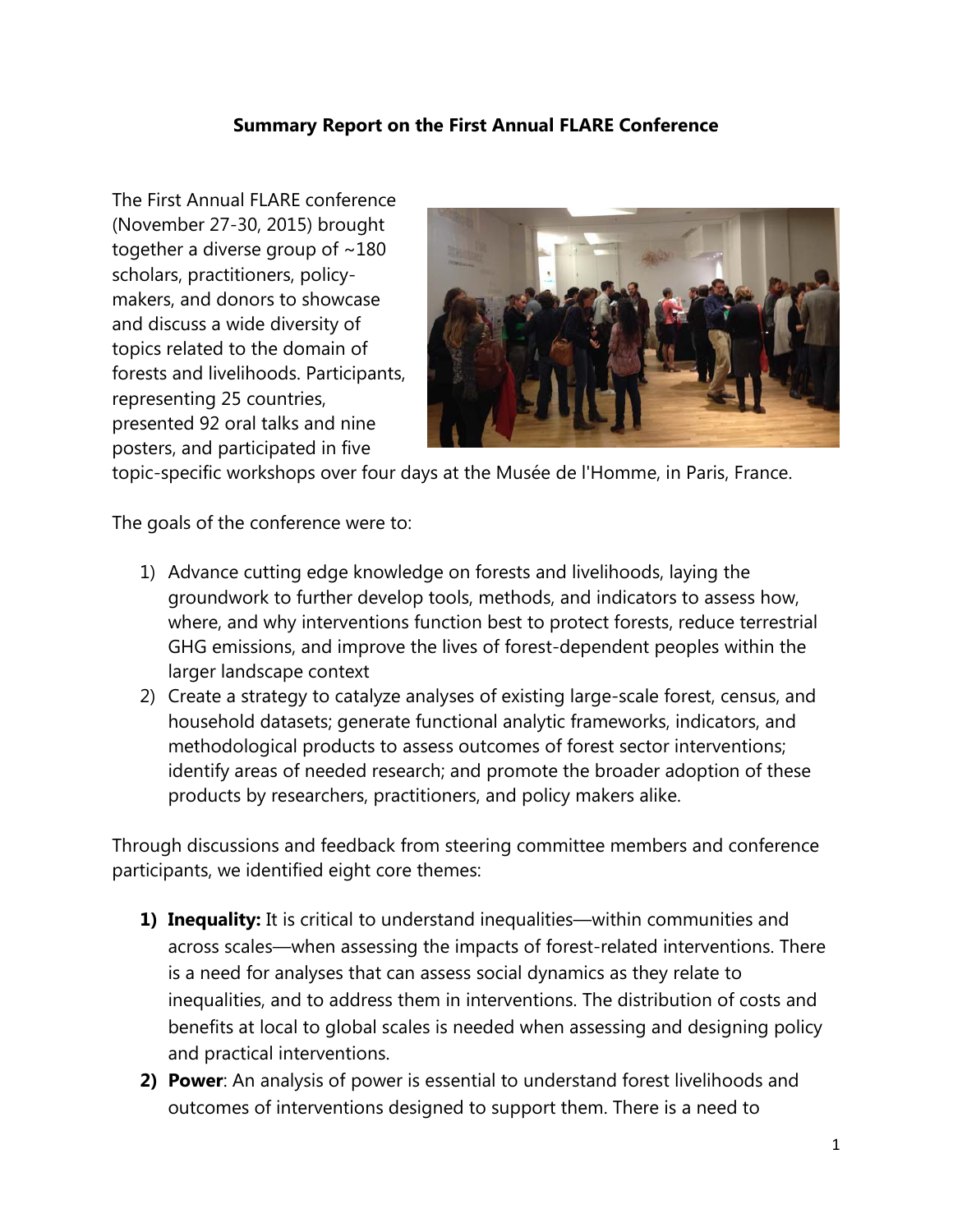## **Summary Report on the First Annual FLARE Conference**

The First Annual FLARE conference (November 27-30, 2015) brought together a diverse group of ~180 scholars, practitioners, policymakers, and donors to showcase and discuss a wide diversity of topics related to the domain of forests and livelihoods. Participants, representing 25 countries, presented 92 oral talks and nine posters, and participated in five



topic-specific workshops over four days at the Musée de l'Homme, in Paris, France.

The goals of the conference were to:

- 1) Advance cutting edge knowledge on forests and livelihoods, laying the groundwork to further develop tools, methods, and indicators to assess how, where, and why interventions function best to protect forests, reduce terrestrial GHG emissions, and improve the lives of forest-dependent peoples within the larger landscape context
- 2) Create a strategy to catalyze analyses of existing large-scale forest, census, and household datasets; generate functional analytic frameworks, indicators, and methodological products to assess outcomes of forest sector interventions; identify areas of needed research; and promote the broader adoption of these products by researchers, practitioners, and policy makers alike.

Through discussions and feedback from steering committee members and conference participants, we identified eight core themes:

- **1) Inequality:** It is critical to understand inequalities—within communities and across scales—when assessing the impacts of forest-related interventions. There is a need for analyses that can assess social dynamics as they relate to inequalities, and to address them in interventions. The distribution of costs and benefits at local to global scales is needed when assessing and designing policy and practical interventions.
- **2) Power**: An analysis of power is essential to understand forest livelihoods and outcomes of interventions designed to support them. There is a need to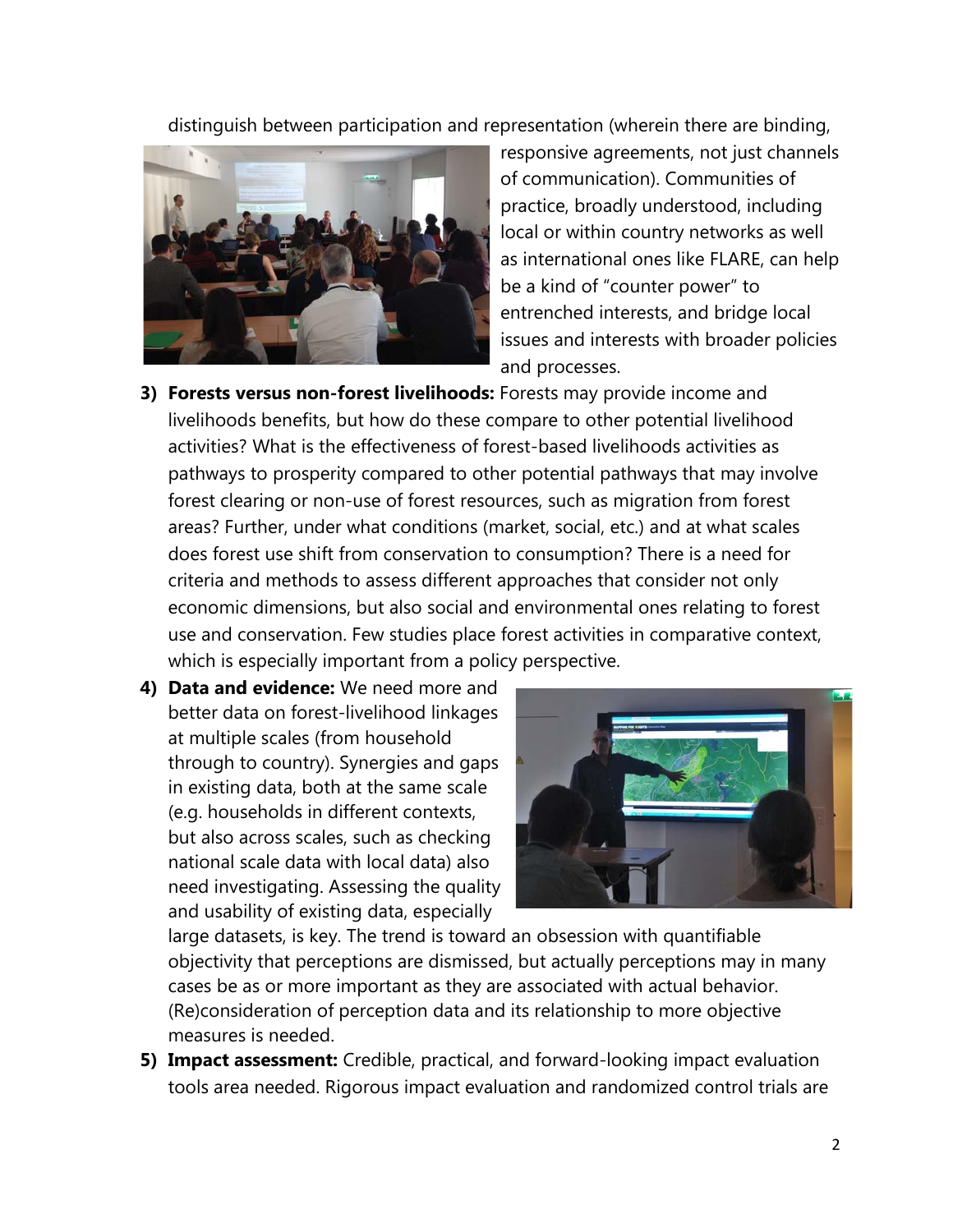distinguish between participation and representation (wherein there are binding,



responsive agreements, not just channels of communication). Communities of practice, broadly understood, including local or within country networks as well as international ones like FLARE, can help be a kind of "counter power" to entrenched interests, and bridge local issues and interests with broader policies and processes.

- **3) Forests versus non-forest livelihoods:** Forests may provide income and livelihoods benefits, but how do these compare to other potential livelihood activities? What is the effectiveness of forest-based livelihoods activities as pathways to prosperity compared to other potential pathways that may involve forest clearing or non-use of forest resources, such as migration from forest areas? Further, under what conditions (market, social, etc.) and at what scales does forest use shift from conservation to consumption? There is a need for criteria and methods to assess different approaches that consider not only economic dimensions, but also social and environmental ones relating to forest use and conservation. Few studies place forest activities in comparative context, which is especially important from a policy perspective.
- **4) Data and evidence:** We need more and better data on forest-livelihood linkages at multiple scales (from household through to country). Synergies and gaps in existing data, both at the same scale (e.g. households in different contexts, but also across scales, such as checking national scale data with local data) also need investigating. Assessing the quality and usability of existing data, especially



large datasets, is key. The trend is toward an obsession with quantifiable objectivity that perceptions are dismissed, but actually perceptions may in many cases be as or more important as they are associated with actual behavior. (Re)consideration of perception data and its relationship to more objective measures is needed.

**5) Impact assessment:** Credible, practical, and forward-looking impact evaluation tools area needed. Rigorous impact evaluation and randomized control trials are